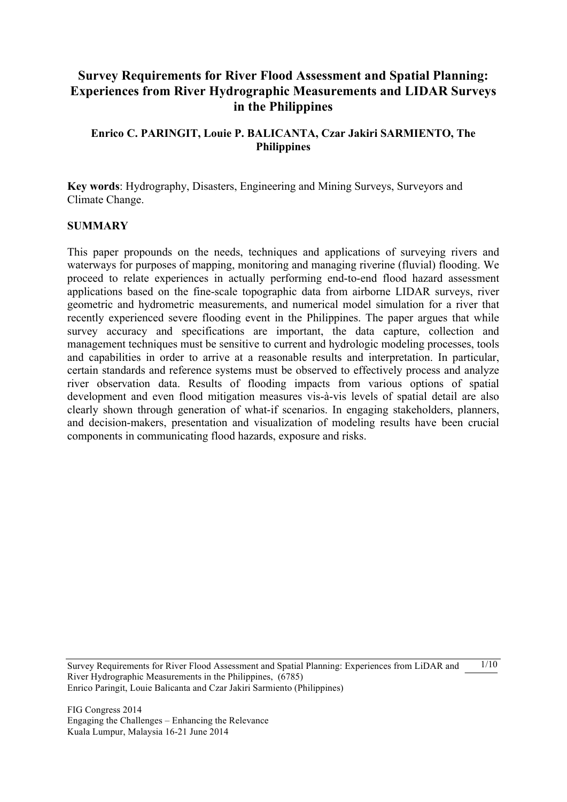# **Survey Requirements for River Flood Assessment and Spatial Planning: Experiences from River Hydrographic Measurements and LIDAR Surveys in the Philippines**

### **Enrico C. PARINGIT, Louie P. BALICANTA, Czar Jakiri SARMIENTO, The Philippines**

**Key words**: Hydrography, Disasters, Engineering and Mining Surveys, Surveyors and Climate Change.

#### **SUMMARY**

This paper propounds on the needs, techniques and applications of surveying rivers and waterways for purposes of mapping, monitoring and managing riverine (fluvial) flooding. We proceed to relate experiences in actually performing end-to-end flood hazard assessment applications based on the fine-scale topographic data from airborne LIDAR surveys, river geometric and hydrometric measurements, and numerical model simulation for a river that recently experienced severe flooding event in the Philippines. The paper argues that while survey accuracy and specifications are important, the data capture, collection and management techniques must be sensitive to current and hydrologic modeling processes, tools and capabilities in order to arrive at a reasonable results and interpretation. In particular, certain standards and reference systems must be observed to effectively process and analyze river observation data. Results of flooding impacts from various options of spatial development and even flood mitigation measures vis-à-vis levels of spatial detail are also clearly shown through generation of what-if scenarios. In engaging stakeholders, planners, and decision-makers, presentation and visualization of modeling results have been crucial components in communicating flood hazards, exposure and risks.

Survey Requirements for River Flood Assessment and Spatial Planning: Experiences from LiDAR and River Hydrographic Measurements in the Philippines, (6785) Enrico Paringit, Louie Balicanta and Czar Jakiri Sarmiento (Philippines)  $1/10$ 

FIG Congress 2014 Engaging the Challenges – Enhancing the Relevance Kuala Lumpur, Malaysia 16-21 June 2014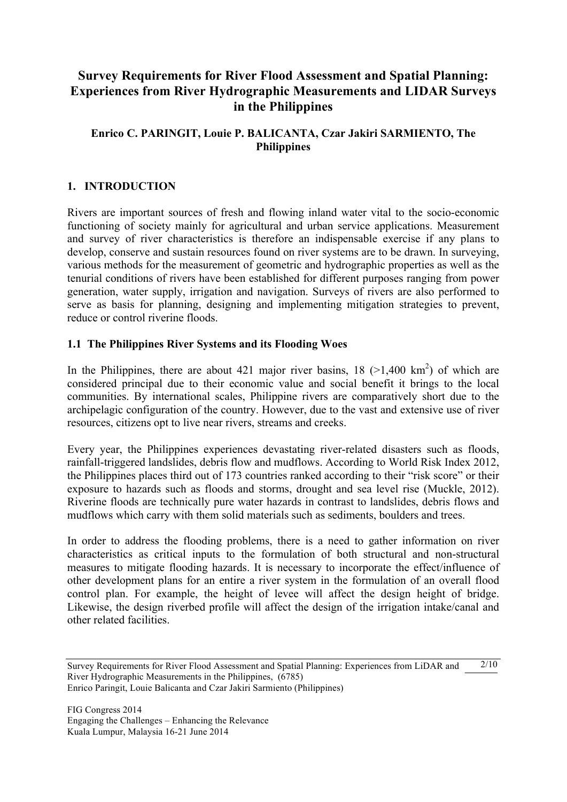# **Survey Requirements for River Flood Assessment and Spatial Planning: Experiences from River Hydrographic Measurements and LIDAR Surveys in the Philippines**

### **Enrico C. PARINGIT, Louie P. BALICANTA, Czar Jakiri SARMIENTO, The Philippines**

### **1. INTRODUCTION**

Rivers are important sources of fresh and flowing inland water vital to the socio-economic functioning of society mainly for agricultural and urban service applications. Measurement and survey of river characteristics is therefore an indispensable exercise if any plans to develop, conserve and sustain resources found on river systems are to be drawn. In surveying, various methods for the measurement of geometric and hydrographic properties as well as the tenurial conditions of rivers have been established for different purposes ranging from power generation, water supply, irrigation and navigation. Surveys of rivers are also performed to serve as basis for planning, designing and implementing mitigation strategies to prevent, reduce or control riverine floods.

#### **1.1 The Philippines River Systems and its Flooding Woes**

In the Philippines, there are about 421 major river basins,  $18$  ( $>1,400$  km<sup>2</sup>) of which are considered principal due to their economic value and social benefit it brings to the local communities. By international scales, Philippine rivers are comparatively short due to the archipelagic configuration of the country. However, due to the vast and extensive use of river resources, citizens opt to live near rivers, streams and creeks.

Every year, the Philippines experiences devastating river-related disasters such as floods, rainfall-triggered landslides, debris flow and mudflows. According to World Risk Index 2012, the Philippines places third out of 173 countries ranked according to their "risk score" or their exposure to hazards such as floods and storms, drought and sea level rise (Muckle, 2012). Riverine floods are technically pure water hazards in contrast to landslides, debris flows and mudflows which carry with them solid materials such as sediments, boulders and trees.

In order to address the flooding problems, there is a need to gather information on river characteristics as critical inputs to the formulation of both structural and non-structural measures to mitigate flooding hazards. It is necessary to incorporate the effect/influence of other development plans for an entire a river system in the formulation of an overall flood control plan. For example, the height of levee will affect the design height of bridge. Likewise, the design riverbed profile will affect the design of the irrigation intake/canal and other related facilities.

Survey Requirements for River Flood Assessment and Spatial Planning: Experiences from LiDAR and River Hydrographic Measurements in the Philippines, (6785) Enrico Paringit, Louie Balicanta and Czar Jakiri Sarmiento (Philippines)  $2/10$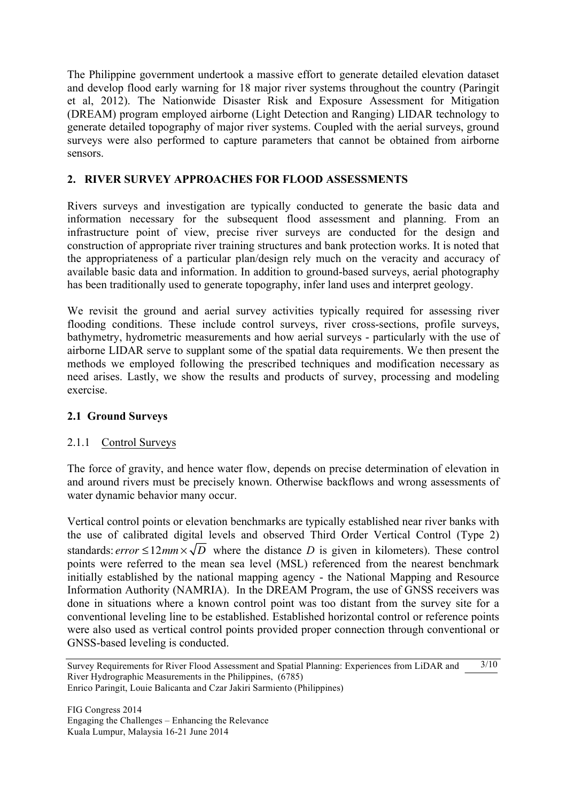The Philippine government undertook a massive effort to generate detailed elevation dataset and develop flood early warning for 18 major river systems throughout the country (Paringit et al, 2012). The Nationwide Disaster Risk and Exposure Assessment for Mitigation (DREAM) program employed airborne (Light Detection and Ranging) LIDAR technology to generate detailed topography of major river systems. Coupled with the aerial surveys, ground surveys were also performed to capture parameters that cannot be obtained from airborne sensors.

### **2. RIVER SURVEY APPROACHES FOR FLOOD ASSESSMENTS**

Rivers surveys and investigation are typically conducted to generate the basic data and information necessary for the subsequent flood assessment and planning. From an infrastructure point of view, precise river surveys are conducted for the design and construction of appropriate river training structures and bank protection works. It is noted that the appropriateness of a particular plan/design rely much on the veracity and accuracy of available basic data and information. In addition to ground-based surveys, aerial photography has been traditionally used to generate topography, infer land uses and interpret geology.

We revisit the ground and aerial survey activities typically required for assessing river flooding conditions. These include control surveys, river cross-sections, profile surveys, bathymetry, hydrometric measurements and how aerial surveys - particularly with the use of airborne LIDAR serve to supplant some of the spatial data requirements. We then present the methods we employed following the prescribed techniques and modification necessary as need arises. Lastly, we show the results and products of survey, processing and modeling exercise.

#### **2.1 Ground Surveys**

#### 2.1.1 Control Surveys

The force of gravity, and hence water flow, depends on precise determination of elevation in and around rivers must be precisely known. Otherwise backflows and wrong assessments of water dynamic behavior many occur.

Vertical control points or elevation benchmarks are typically established near river banks with the use of calibrated digital levels and observed Third Order Vertical Control (Type 2) standards: *error*  $\leq 12$ *mm*  $\times \sqrt{D}$  where the distance *D* is given in kilometers). These control points were referred to the mean sea level (MSL) referenced from the nearest benchmark initially established by the national mapping agency - the National Mapping and Resource Information Authority (NAMRIA). In the DREAM Program, the use of GNSS receivers was done in situations where a known control point was too distant from the survey site for a conventional leveling line to be established. Established horizontal control or reference points were also used as vertical control points provided proper connection through conventional or GNSS-based leveling is conducted.

Survey Requirements for River Flood Assessment and Spatial Planning: Experiences from LiDAR and River Hydrographic Measurements in the Philippines, (6785) Enrico Paringit, Louie Balicanta and Czar Jakiri Sarmiento (Philippines)  $3/10$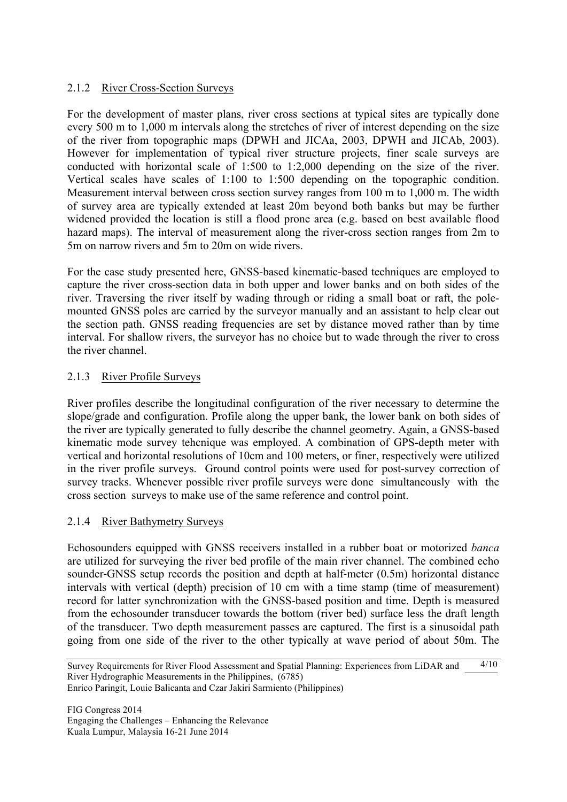### 2.1.2 River Cross-Section Surveys

For the development of master plans, river cross sections at typical sites are typically done every 500 m to 1,000 m intervals along the stretches of river of interest depending on the size of the river from topographic maps (DPWH and JICAa, 2003, DPWH and JICAb, 2003). However for implementation of typical river structure projects, finer scale surveys are conducted with horizontal scale of 1:500 to 1:2,000 depending on the size of the river. Vertical scales have scales of 1:100 to 1:500 depending on the topographic condition. Measurement interval between cross section survey ranges from 100 m to 1,000 m. The width of survey area are typically extended at least 20m beyond both banks but may be further widened provided the location is still a flood prone area (e.g. based on best available flood hazard maps). The interval of measurement along the river-cross section ranges from 2m to 5m on narrow rivers and 5m to 20m on wide rivers.

For the case study presented here, GNSS-based kinematic-based techniques are employed to capture the river cross-section data in both upper and lower banks and on both sides of the river. Traversing the river itself by wading through or riding a small boat or raft, the polemounted GNSS poles are carried by the surveyor manually and an assistant to help clear out the section path. GNSS reading frequencies are set by distance moved rather than by time interval. For shallow rivers, the surveyor has no choice but to wade through the river to cross the river channel.

#### 2.1.3 River Profile Surveys

River profiles describe the longitudinal configuration of the river necessary to determine the slope/grade and configuration. Profile along the upper bank, the lower bank on both sides of the river are typically generated to fully describe the channel geometry. Again, a GNSS-based kinematic mode survey tehcnique was employed. A combination of GPS-depth meter with vertical and horizontal resolutions of 10cm and 100 meters, or finer, respectively were utilized in the river profile surveys. Ground control points were used for post-survey correction of survey tracks. Whenever possible river profile surveys were done simultaneously with the cross section surveys to make use of the same reference and control point.

#### 2.1.4 River Bathymetry Surveys

Echosounders equipped with GNSS receivers installed in a rubber boat or motorized *banca* are utilized for surveying the river bed profile of the main river channel. The combined echo sounder-GNSS setup records the position and depth at half-meter (0.5m) horizontal distance intervals with vertical (depth) precision of 10 cm with a time stamp (time of measurement) record for latter synchronization with the GNSS-based position and time. Depth is measured from the echosounder transducer towards the bottom (river bed) surface less the draft length of the transducer. Two depth measurement passes are captured. The first is a sinusoidal path going from one side of the river to the other typically at wave period of about 50m. The

FIG Congress 2014 Engaging the Challenges – Enhancing the Relevance Kuala Lumpur, Malaysia 16-21 June 2014

Survey Requirements for River Flood Assessment and Spatial Planning: Experiences from LiDAR and River Hydrographic Measurements in the Philippines, (6785) Enrico Paringit, Louie Balicanta and Czar Jakiri Sarmiento (Philippines)  $4/10$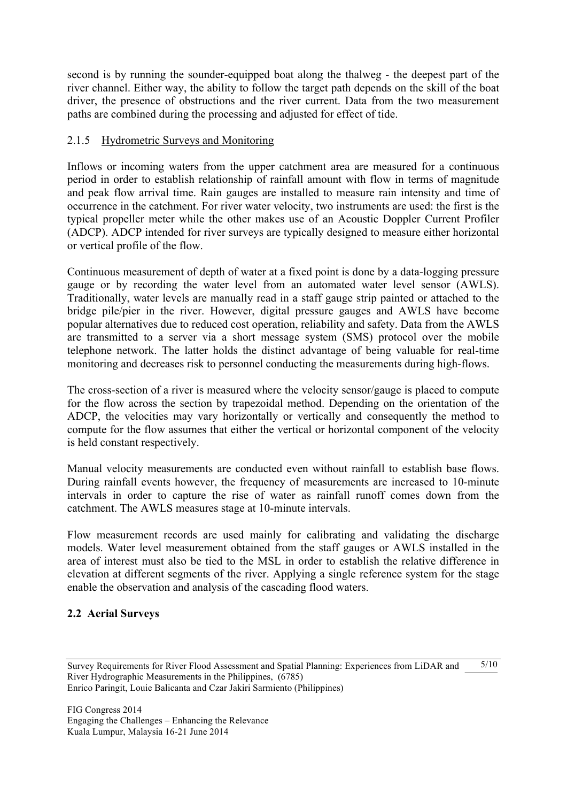second is by running the sounder-equipped boat along the thalweg - the deepest part of the river channel. Either way, the ability to follow the target path depends on the skill of the boat driver, the presence of obstructions and the river current. Data from the two measurement paths are combined during the processing and adjusted for effect of tide.

#### 2.1.5 Hydrometric Surveys and Monitoring

Inflows or incoming waters from the upper catchment area are measured for a continuous period in order to establish relationship of rainfall amount with flow in terms of magnitude and peak flow arrival time. Rain gauges are installed to measure rain intensity and time of occurrence in the catchment. For river water velocity, two instruments are used: the first is the typical propeller meter while the other makes use of an Acoustic Doppler Current Profiler (ADCP). ADCP intended for river surveys are typically designed to measure either horizontal or vertical profile of the flow.

Continuous measurement of depth of water at a fixed point is done by a data-logging pressure gauge or by recording the water level from an automated water level sensor (AWLS). Traditionally, water levels are manually read in a staff gauge strip painted or attached to the bridge pile/pier in the river. However, digital pressure gauges and AWLS have become popular alternatives due to reduced cost operation, reliability and safety. Data from the AWLS are transmitted to a server via a short message system (SMS) protocol over the mobile telephone network. The latter holds the distinct advantage of being valuable for real-time monitoring and decreases risk to personnel conducting the measurements during high-flows.

The cross-section of a river is measured where the velocity sensor/gauge is placed to compute for the flow across the section by trapezoidal method. Depending on the orientation of the ADCP, the velocities may vary horizontally or vertically and consequently the method to compute for the flow assumes that either the vertical or horizontal component of the velocity is held constant respectively.

Manual velocity measurements are conducted even without rainfall to establish base flows. During rainfall events however, the frequency of measurements are increased to 10-minute intervals in order to capture the rise of water as rainfall runoff comes down from the catchment. The AWLS measures stage at 10-minute intervals.

Flow measurement records are used mainly for calibrating and validating the discharge models. Water level measurement obtained from the staff gauges or AWLS installed in the area of interest must also be tied to the MSL in order to establish the relative difference in elevation at different segments of the river. Applying a single reference system for the stage enable the observation and analysis of the cascading flood waters.

#### **2.2 Aerial Surveys**

Survey Requirements for River Flood Assessment and Spatial Planning: Experiences from LiDAR and River Hydrographic Measurements in the Philippines, (6785) Enrico Paringit, Louie Balicanta and Czar Jakiri Sarmiento (Philippines)  $5/10$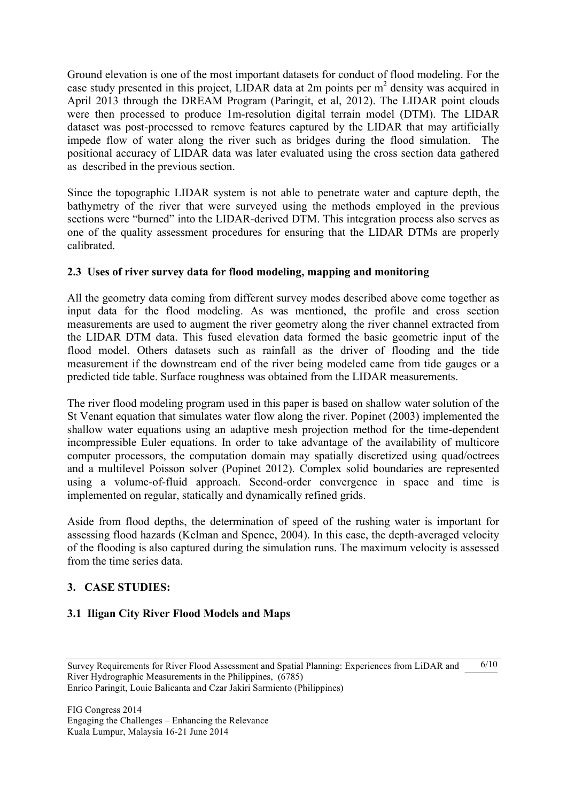Ground elevation is one of the most important datasets for conduct of flood modeling. For the case study presented in this project, LIDAR data at 2m points per  $m<sup>2</sup>$  density was acquired in April 2013 through the DREAM Program (Paringit, et al, 2012). The LIDAR point clouds were then processed to produce 1m-resolution digital terrain model (DTM). The LIDAR dataset was post-processed to remove features captured by the LIDAR that may artificially impede flow of water along the river such as bridges during the flood simulation. The positional accuracy of LIDAR data was later evaluated using the cross section data gathered as described in the previous section.

Since the topographic LIDAR system is not able to penetrate water and capture depth, the bathymetry of the river that were surveyed using the methods employed in the previous sections were "burned" into the LIDAR-derived DTM. This integration process also serves as one of the quality assessment procedures for ensuring that the LIDAR DTMs are properly calibrated.

### **2.3 Uses of river survey data for flood modeling, mapping and monitoring**

All the geometry data coming from different survey modes described above come together as input data for the flood modeling. As was mentioned, the profile and cross section measurements are used to augment the river geometry along the river channel extracted from the LIDAR DTM data. This fused elevation data formed the basic geometric input of the flood model. Others datasets such as rainfall as the driver of flooding and the tide measurement if the downstream end of the river being modeled came from tide gauges or a predicted tide table. Surface roughness was obtained from the LIDAR measurements.

The river flood modeling program used in this paper is based on shallow water solution of the St Venant equation that simulates water flow along the river. Popinet (2003) implemented the shallow water equations using an adaptive mesh projection method for the time-dependent incompressible Euler equations. In order to take advantage of the availability of multicore computer processors, the computation domain may spatially discretized using quad/octrees and a multilevel Poisson solver (Popinet 2012). Complex solid boundaries are represented using a volume-of-fluid approach. Second-order convergence in space and time is implemented on regular, statically and dynamically refined grids.

Aside from flood depths, the determination of speed of the rushing water is important for assessing flood hazards (Kelman and Spence, 2004). In this case, the depth-averaged velocity of the flooding is also captured during the simulation runs. The maximum velocity is assessed from the time series data.

#### **3. CASE STUDIES:**

## **3.1 Iligan City River Flood Models and Maps**

Survey Requirements for River Flood Assessment and Spatial Planning: Experiences from LiDAR and River Hydrographic Measurements in the Philippines, (6785) Enrico Paringit, Louie Balicanta and Czar Jakiri Sarmiento (Philippines)  $6/10$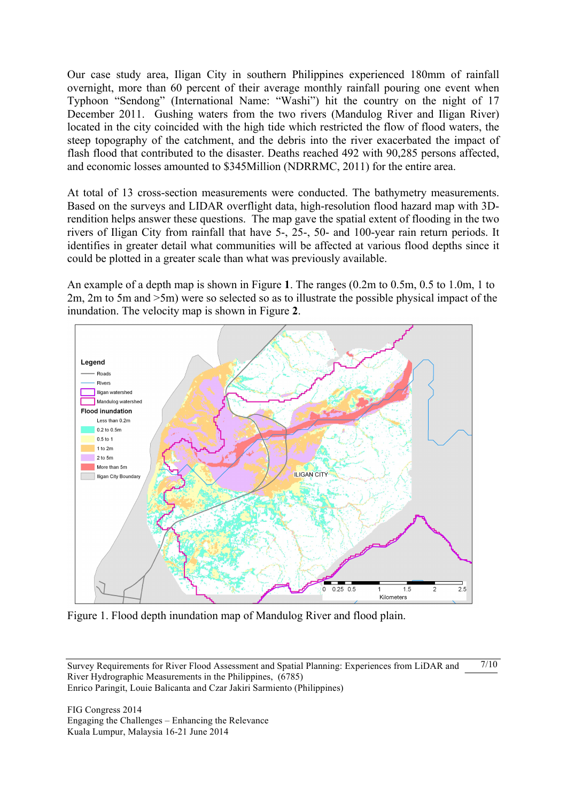Our case study area, Iligan City in southern Philippines experienced 180mm of rainfall overnight, more than 60 percent of their average monthly rainfall pouring one event when Typhoon "Sendong" (International Name: "Washi") hit the country on the night of 17 December 2011. Gushing waters from the two rivers (Mandulog River and Iligan River) located in the city coincided with the high tide which restricted the flow of flood waters, the steep topography of the catchment, and the debris into the river exacerbated the impact of flash flood that contributed to the disaster. Deaths reached 492 with 90,285 persons affected, and economic losses amounted to \$345Million (NDRRMC, 2011) for the entire area.

At total of 13 cross-section measurements were conducted. The bathymetry measurements. Based on the surveys and LIDAR overflight data, high-resolution flood hazard map with 3Drendition helps answer these questions. The map gave the spatial extent of flooding in the two rivers of Iligan City from rainfall that have 5-, 25-, 50- and 100-year rain return periods. It identifies in greater detail what communities will be affected at various flood depths since it could be plotted in a greater scale than what was previously available.

An example of a depth map is shown in Figure **1**. The ranges (0.2m to 0.5m, 0.5 to 1.0m, 1 to 2m, 2m to 5m and >5m) were so selected so as to illustrate the possible physical impact of the inundation. The velocity map is shown in Figure **2**.



Figure 1. Flood depth inundation map of Mandulog River and flood plain.

FIG Congress 2014 Engaging the Challenges – Enhancing the Relevance Kuala Lumpur, Malaysia 16-21 June 2014

Survey Requirements for River Flood Assessment and Spatial Planning: Experiences from LiDAR and River Hydrographic Measurements in the Philippines, (6785) Enrico Paringit, Louie Balicanta and Czar Jakiri Sarmiento (Philippines)  $7/10$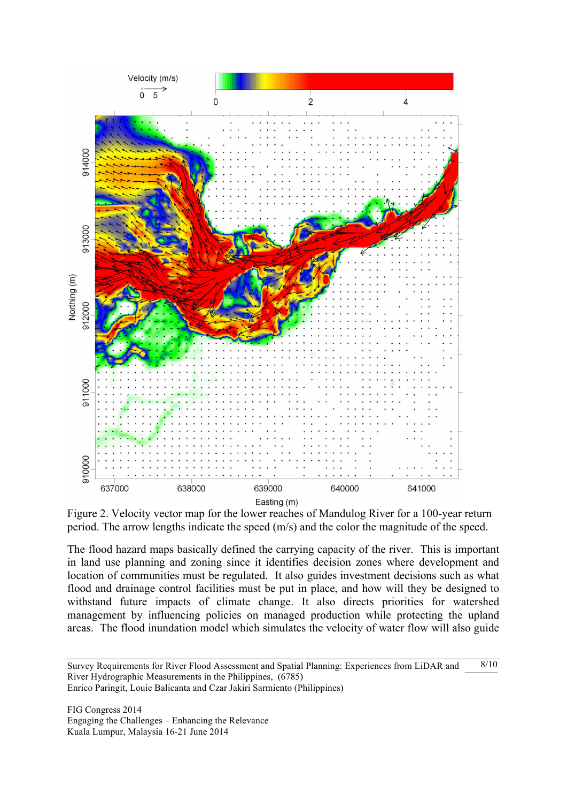

Figure 2. Velocity vector map for the lower reaches of Mandulog River for a 100-year return period. The arrow lengths indicate the speed (m/s) and the color the magnitude of the speed.

The flood hazard maps basically defined the carrying capacity of the river. This is important in land use planning and zoning since it identifies decision zones where development and location of communities must be regulated. It also guides investment decisions such as what flood and drainage control facilities must be put in place, and how will they be designed to withstand future impacts of climate change. It also directs priorities for watershed management by influencing policies on managed production while protecting the upland areas. The flood inundation model which simulates the velocity of water flow will also guide

Survey Requirements for River Flood Assessment and Spatial Planning: Experiences from LiDAR and River Hydrographic Measurements in the Philippines, (6785) Enrico Paringit, Louie Balicanta and Czar Jakiri Sarmiento (Philippines)  $8/10$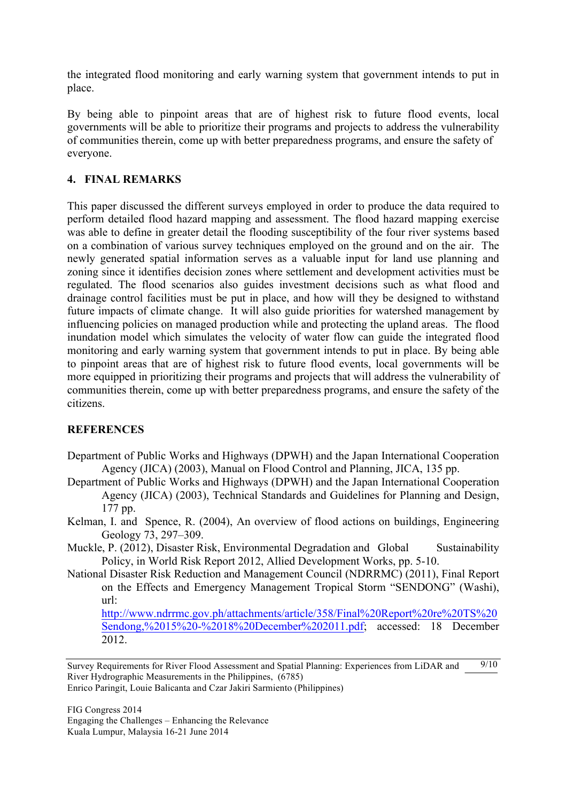the integrated flood monitoring and early warning system that government intends to put in place.

By being able to pinpoint areas that are of highest risk to future flood events, local governments will be able to prioritize their programs and projects to address the vulnerability of communities therein, come up with better preparedness programs, and ensure the safety of everyone.

## **4. FINAL REMARKS**

This paper discussed the different surveys employed in order to produce the data required to perform detailed flood hazard mapping and assessment. The flood hazard mapping exercise was able to define in greater detail the flooding susceptibility of the four river systems based on a combination of various survey techniques employed on the ground and on the air. The newly generated spatial information serves as a valuable input for land use planning and zoning since it identifies decision zones where settlement and development activities must be regulated. The flood scenarios also guides investment decisions such as what flood and drainage control facilities must be put in place, and how will they be designed to withstand future impacts of climate change. It will also guide priorities for watershed management by influencing policies on managed production while and protecting the upland areas. The flood inundation model which simulates the velocity of water flow can guide the integrated flood monitoring and early warning system that government intends to put in place. By being able to pinpoint areas that are of highest risk to future flood events, local governments will be more equipped in prioritizing their programs and projects that will address the vulnerability of communities therein, come up with better preparedness programs, and ensure the safety of the citizens.

## **REFERENCES**

- Department of Public Works and Highways (DPWH) and the Japan International Cooperation Agency (JICA) (2003), Manual on Flood Control and Planning, JICA, 135 pp.
- Department of Public Works and Highways (DPWH) and the Japan International Cooperation Agency (JICA) (2003), Technical Standards and Guidelines for Planning and Design, 177 pp.
- Kelman, I. and Spence, R. (2004), An overview of flood actions on buildings, Engineering Geology 73, 297–309.
- Muckle, P. (2012), Disaster Risk, Environmental Degradation and Global Sustainability Policy, in World Risk Report 2012, Allied Development Works, pp. 5-10.
- National Disaster Risk Reduction and Management Council (NDRRMC) (2011), Final Report on the Effects and Emergency Management Tropical Storm "SENDONG" (Washi), url:

http://www.ndrrmc.gov.ph/attachments/article/358/Final%20Report%20re%20TS%20 Sendong,%2015%20-%2018%20December%202011.pdf; accessed: 18 December 2012.

Survey Requirements for River Flood Assessment and Spatial Planning: Experiences from LiDAR and River Hydrographic Measurements in the Philippines, (6785) Enrico Paringit, Louie Balicanta and Czar Jakiri Sarmiento (Philippines)  $9/10$